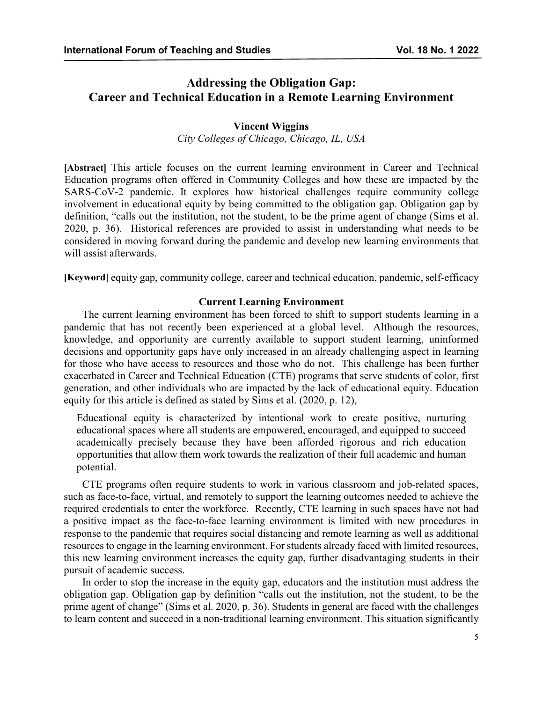# **Addressing the Obligation Gap: Career and Technical Education in a Remote Learning Environment**

# **Vincent Wiggins**

*City Colleges of Chicago, Chicago, IL, USA*

**[Abstract]** This article focuses on the current learning environment in Career and Technical Education programs often offered in Community Colleges and how these are impacted by the SARS-CoV-2 pandemic. It explores how historical challenges require community college involvement in educational equity by being committed to the obligation gap. Obligation gap by definition, "calls out the institution, not the student, to be the prime agent of change (Sims et al. 2020, p. 36). Historical references are provided to assist in understanding what needs to be considered in moving forward during the pandemic and develop new learning environments that will assist afterwards.

**[Keyword**] equity gap, community college, career and technical education, pandemic, self-efficacy

# **Current Learning Environment**

The current learning environment has been forced to shift to support students learning in a pandemic that has not recently been experienced at a global level. Although the resources, knowledge, and opportunity are currently available to support student learning, uninformed decisions and opportunity gaps have only increased in an already challenging aspect in learning for those who have access to resources and those who do not. This challenge has been further exacerbated in Career and Technical Education (CTE) programs that serve students of color, first generation, and other individuals who are impacted by the lack of educational equity. Education equity for this article is defined as stated by Sims et al. (2020, p. 12),

Educational equity is characterized by intentional work to create positive, nurturing educational spaces where all students are empowered, encouraged, and equipped to succeed academically precisely because they have been afforded rigorous and rich education opportunities that allow them work towards the realization of their full academic and human potential.

CTE programs often require students to work in various classroom and job-related spaces, such as face-to-face, virtual, and remotely to support the learning outcomes needed to achieve the required credentials to enter the workforce. Recently, CTE learning in such spaces have not had a positive impact as the face-to-face learning environment is limited with new procedures in response to the pandemic that requires social distancing and remote learning as well as additional resources to engage in the learning environment. For students already faced with limited resources, this new learning environment increases the equity gap, further disadvantaging students in their pursuit of academic success.

In order to stop the increase in the equity gap, educators and the institution must address the obligation gap. Obligation gap by definition "calls out the institution, not the student, to be the prime agent of change" (Sims et al. 2020, p. 36). Students in general are faced with the challenges to learn content and succeed in a non-traditional learning environment. This situation significantly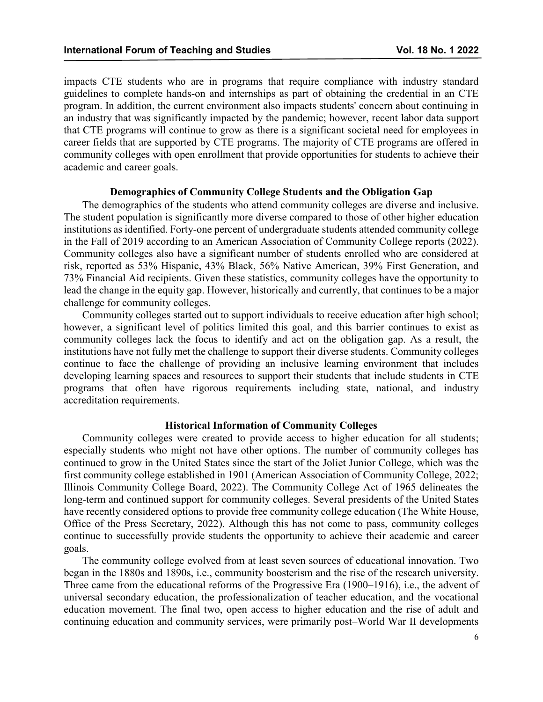impacts CTE students who are in programs that require compliance with industry standard guidelines to complete hands-on and internships as part of obtaining the credential in an CTE program. In addition, the current environment also impacts students' concern about continuing in an industry that was significantly impacted by the pandemic; however, recent labor data support that CTE programs will continue to grow as there is a significant societal need for employees in career fields that are supported by CTE programs. The majority of CTE programs are offered in community colleges with open enrollment that provide opportunities for students to achieve their academic and career goals.

# **Demographics of Community College Students and the Obligation Gap**

The demographics of the students who attend community colleges are diverse and inclusive. The student population is significantly more diverse compared to those of other higher education institutions as identified. Forty-one percent of undergraduate students attended community college in the Fall of 2019 according to an American Association of Community College reports (2022). Community colleges also have a significant number of students enrolled who are considered at risk, reported as 53% Hispanic, 43% Black, 56% Native American, 39% First Generation, and 73% Financial Aid recipients. Given these statistics, community colleges have the opportunity to lead the change in the equity gap. However, historically and currently, that continues to be a major challenge for community colleges.

Community colleges started out to support individuals to receive education after high school; however, a significant level of politics limited this goal, and this barrier continues to exist as community colleges lack the focus to identify and act on the obligation gap. As a result, the institutions have not fully met the challenge to support their diverse students. Community colleges continue to face the challenge of providing an inclusive learning environment that includes developing learning spaces and resources to support their students that include students in CTE programs that often have rigorous requirements including state, national, and industry accreditation requirements.

### **Historical Information of Community Colleges**

Community colleges were created to provide access to higher education for all students; especially students who might not have other options. The number of community colleges has continued to grow in the United States since the start of the Joliet Junior College, which was the first community college established in 1901 (American Association of Community College, 2022; Illinois Community College Board, 2022). The Community College Act of 1965 delineates the long-term and continued support for community colleges. Several presidents of the United States have recently considered options to provide free community college education (The White House, Office of the Press Secretary, 2022). Although this has not come to pass, community colleges continue to successfully provide students the opportunity to achieve their academic and career goals.

The community college evolved from at least seven sources of educational innovation. Two began in the 1880s and 1890s, i.e., community boosterism and the rise of the research university. Three came from the educational reforms of the Progressive Era (1900–1916), i.e., the advent of universal secondary education, the professionalization of teacher education, and the vocational education movement. The final two, open access to higher education and the rise of adult and continuing education and community services, were primarily post–World War II developments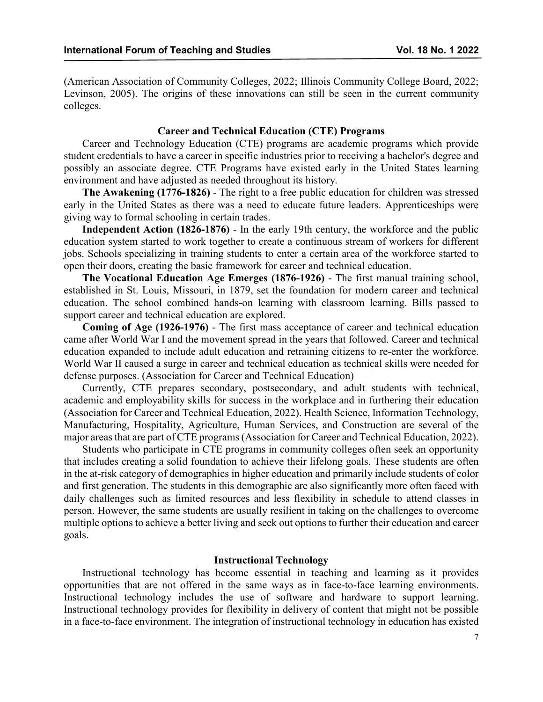(American Association of Community Colleges, 2022; Illinois Community College Board, 2022; Levinson, 2005). The origins of these innovations can still be seen in the current community colleges.

# **Career and Technical Education (CTE) Programs**

Career and Technology Education (CTE) programs are academic programs which provide student credentials to have a career in specific industries prior to receiving a bachelor's degree and possibly an associate degree. CTE Programs have existed early in the United States learning environment and have adjusted as needed throughout its history.

**The Awakening (1776-1826)** - The right to a free public education for children was stressed early in the United States as there was a need to educate future leaders. Apprenticeships were giving way to formal schooling in certain trades.

**Independent Action (1826-1876)** - In the early 19th century, the workforce and the public education system started to work together to create a continuous stream of workers for different jobs. Schools specializing in training students to enter a certain area of the workforce started to open their doors, creating the basic framework for career and technical education.

**The Vocational Education Age Emerges (1876-1926)** - The first manual training school, established in St. Louis, Missouri, in 1879, set the foundation for modern career and technical education. The school combined hands-on learning with classroom learning. Bills passed to support career and technical education are explored.

**Coming of Age (1926-1976)** - The first mass acceptance of career and technical education came after World War I and the movement spread in the years that followed. Career and technical education expanded to include adult education and retraining citizens to re-enter the workforce. World War II caused a surge in career and technical education as technical skills were needed for defense purposes. (Association for Career and Technical Education)

Currently, CTE prepares secondary, postsecondary, and adult students with technical, academic and employability skills for success in the workplace and in furthering their education (Association for Career and Technical Education, 2022). Health Science, Information Technology, Manufacturing, Hospitality, Agriculture, Human Services, and Construction are several of the major areas that are part of CTE programs (Association for Career and Technical Education, 2022).

Students who participate in CTE programs in community colleges often seek an opportunity that includes creating a solid foundation to achieve their lifelong goals. These students are often in the at-risk category of demographics in higher education and primarily include students of color and first generation. The students in this demographic are also significantly more often faced with daily challenges such as limited resources and less flexibility in schedule to attend classes in person. However, the same students are usually resilient in taking on the challenges to overcome multiple options to achieve a better living and seek out options to further their education and career goals.

# **Instructional Technology**

Instructional technology has become essential in teaching and learning as it provides opportunities that are not offered in the same ways as in face-to-face learning environments. Instructional technology includes the use of software and hardware to support learning. Instructional technology provides for flexibility in delivery of content that might not be possible in a face-to-face environment. The integration of instructional technology in education has existed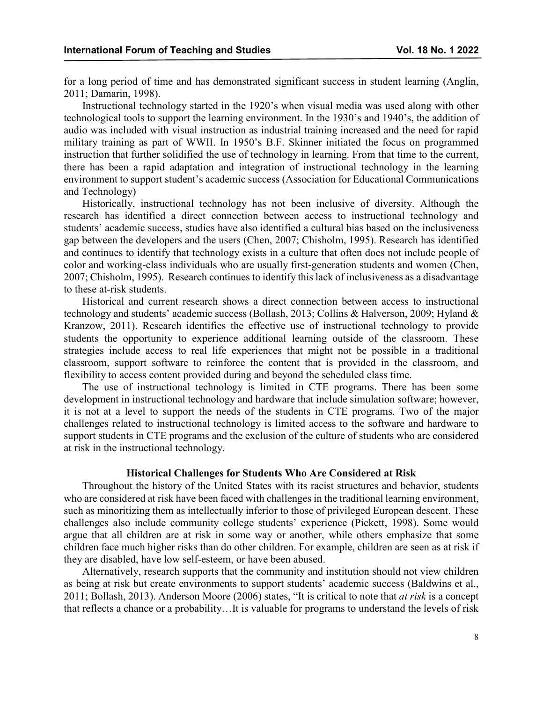for a long period of time and has demonstrated significant success in student learning (Anglin, 2011; Damarin, 1998).

Instructional technology started in the 1920's when visual media was used along with other technological tools to support the learning environment. In the 1930's and 1940's, the addition of audio was included with visual instruction as industrial training increased and the need for rapid military training as part of WWII. In 1950's B.F. Skinner initiated the focus on programmed instruction that further solidified the use of technology in learning. From that time to the current, there has been a rapid adaptation and integration of instructional technology in the learning environment to support student's academic success (Association for Educational Communications and Technology)

Historically, instructional technology has not been inclusive of diversity. Although the research has identified a direct connection between access to instructional technology and students' academic success, studies have also identified a cultural bias based on the inclusiveness gap between the developers and the users (Chen, 2007; Chisholm, 1995). Research has identified and continues to identify that technology exists in a culture that often does not include people of color and working-class individuals who are usually first-generation students and women (Chen, 2007; Chisholm, 1995). Research continues to identify this lack of inclusiveness as a disadvantage to these at-risk students.

Historical and current research shows a direct connection between access to instructional technology and students' academic success (Bollash, 2013; Collins & Halverson, 2009; Hyland & Kranzow, 2011). Research identifies the effective use of instructional technology to provide students the opportunity to experience additional learning outside of the classroom. These strategies include access to real life experiences that might not be possible in a traditional classroom, support software to reinforce the content that is provided in the classroom, and flexibility to access content provided during and beyond the scheduled class time.

The use of instructional technology is limited in CTE programs. There has been some development in instructional technology and hardware that include simulation software; however, it is not at a level to support the needs of the students in CTE programs. Two of the major challenges related to instructional technology is limited access to the software and hardware to support students in CTE programs and the exclusion of the culture of students who are considered at risk in the instructional technology.

# **Historical Challenges for Students Who Are Considered at Risk**

Throughout the history of the United States with its racist structures and behavior, students who are considered at risk have been faced with challenges in the traditional learning environment, such as minoritizing them as intellectually inferior to those of privileged European descent. These challenges also include community college students' experience (Pickett, 1998). Some would argue that all children are at risk in some way or another, while others emphasize that some children face much higher risks than do other children. For example, children are seen as at risk if they are disabled, have low self-esteem, or have been abused.

Alternatively, research supports that the community and institution should not view children as being at risk but create environments to support students' academic success (Baldwins et al., 2011; Bollash, 2013). Anderson Moore (2006) states, "It is critical to note that *at risk* is a concept that reflects a chance or a probability…It is valuable for programs to understand the levels of risk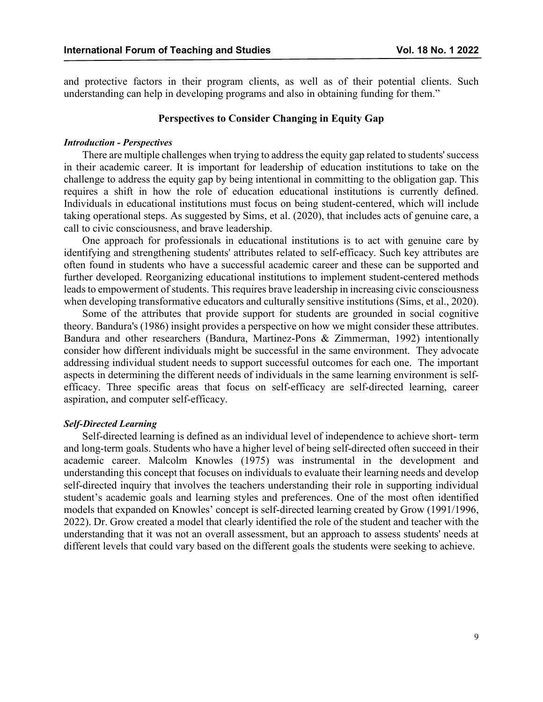and protective factors in their program clients, as well as of their potential clients. Such understanding can help in developing programs and also in obtaining funding for them."

# **Perspectives to Consider Changing in Equity Gap**

#### *Introduction - Perspectives*

There are multiple challenges when trying to address the equity gap related to students' success in their academic career. It is important for leadership of education institutions to take on the challenge to address the equity gap by being intentional in committing to the obligation gap. This requires a shift in how the role of education educational institutions is currently defined. Individuals in educational institutions must focus on being student-centered, which will include taking operational steps. As suggested by Sims, et al. (2020), that includes acts of genuine care, a call to civic consciousness, and brave leadership.

One approach for professionals in educational institutions is to act with genuine care by identifying and strengthening students' attributes related to self-efficacy. Such key attributes are often found in students who have a successful academic career and these can be supported and further developed. Reorganizing educational institutions to implement student-centered methods leads to empowerment of students. This requires brave leadership in increasing civic consciousness when developing transformative educators and culturally sensitive institutions (Sims, et al., 2020).

Some of the attributes that provide support for students are grounded in social cognitive theory. Bandura's (1986) insight provides a perspective on how we might consider these attributes. Bandura and other researchers (Bandura, Martinez-Pons & Zimmerman, 1992) intentionally consider how different individuals might be successful in the same environment. They advocate addressing individual student needs to support successful outcomes for each one. The important aspects in determining the different needs of individuals in the same learning environment is selfefficacy. Three specific areas that focus on self-efficacy are self-directed learning, career aspiration, and computer self-efficacy.

### *Self-Directed Learning*

Self-directed learning is defined as an individual level of independence to achieve short- term and long-term goals. Students who have a higher level of being self-directed often succeed in their academic career. Malcolm Knowles (1975) was instrumental in the development and understanding this concept that focuses on individuals to evaluate their learning needs and develop self-directed inquiry that involves the teachers understanding their role in supporting individual student's academic goals and learning styles and preferences. One of the most often identified models that expanded on Knowles' concept is self-directed learning created by Grow (1991/1996, 2022). Dr. Grow created a model that clearly identified the role of the student and teacher with the understanding that it was not an overall assessment, but an approach to assess students' needs at different levels that could vary based on the different goals the students were seeking to achieve.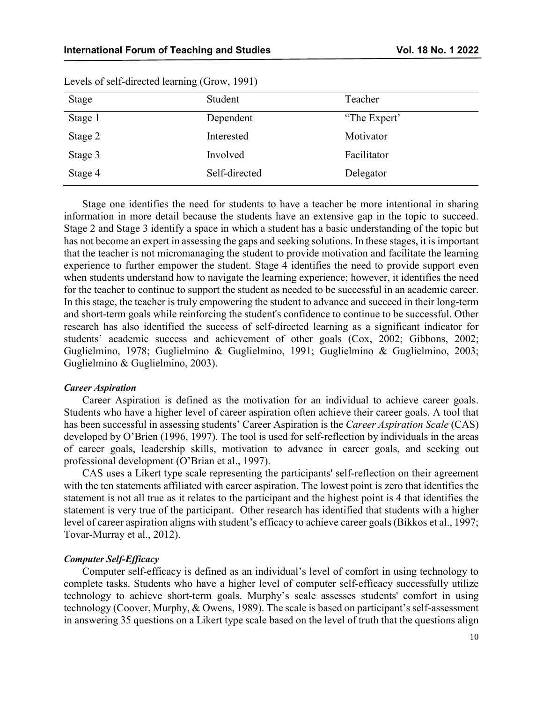| Stage   | Student       | Teacher      |
|---------|---------------|--------------|
| Stage 1 | Dependent     | "The Expert" |
| Stage 2 | Interested    | Motivator    |
| Stage 3 | Involved      | Facilitator  |
| Stage 4 | Self-directed | Delegator    |

Levels of self-directed learning (Grow, 1991)

Stage one identifies the need for students to have a teacher be more intentional in sharing information in more detail because the students have an extensive gap in the topic to succeed. Stage 2 and Stage 3 identify a space in which a student has a basic understanding of the topic but has not become an expert in assessing the gaps and seeking solutions. In these stages, it is important that the teacher is not micromanaging the student to provide motivation and facilitate the learning experience to further empower the student. Stage 4 identifies the need to provide support even when students understand how to navigate the learning experience; however, it identifies the need for the teacher to continue to support the student as needed to be successful in an academic career. In this stage, the teacher is truly empowering the student to advance and succeed in their long-term and short-term goals while reinforcing the student's confidence to continue to be successful. Other research has also identified the success of self-directed learning as a significant indicator for students' academic success and achievement of other goals (Cox, 2002; Gibbons, 2002; Guglielmino, 1978; Guglielmino & Guglielmino, 1991; Guglielmino & Guglielmino, 2003; Guglielmino & Guglielmino, 2003).

#### *Career Aspiration*

Career Aspiration is defined as the motivation for an individual to achieve career goals. Students who have a higher level of career aspiration often achieve their career goals. A tool that has been successful in assessing students' Career Aspiration is the *Career Aspiration Scale* (CAS) developed by O'Brien (1996, 1997). The tool is used for self-reflection by individuals in the areas of career goals, leadership skills, motivation to advance in career goals, and seeking out professional development (O'Brian et al., 1997).

CAS uses a Likert type scale representing the participants' self-reflection on their agreement with the ten statements affiliated with career aspiration. The lowest point is zero that identifies the statement is not all true as it relates to the participant and the highest point is 4 that identifies the statement is very true of the participant. Other research has identified that students with a higher level of career aspiration aligns with student's efficacy to achieve career goals (Bikkos et al., 1997; Tovar-Murray et al., 2012).

#### *Computer Self-Efficacy*

Computer self-efficacy is defined as an individual's level of comfort in using technology to complete tasks. Students who have a higher level of computer self-efficacy successfully utilize technology to achieve short-term goals. Murphy's scale assesses students' comfort in using technology (Coover, Murphy, & Owens, 1989). The scale is based on participant's self-assessment in answering 35 questions on a Likert type scale based on the level of truth that the questions align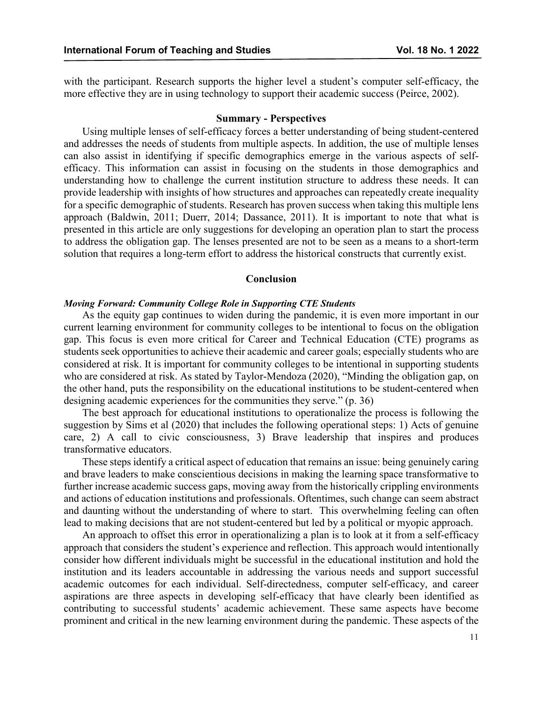with the participant. Research supports the higher level a student's computer self-efficacy, the more effective they are in using technology to support their academic success (Peirce, 2002).

#### **Summary - Perspectives**

Using multiple lenses of self-efficacy forces a better understanding of being student-centered and addresses the needs of students from multiple aspects. In addition, the use of multiple lenses can also assist in identifying if specific demographics emerge in the various aspects of selfefficacy. This information can assist in focusing on the students in those demographics and understanding how to challenge the current institution structure to address these needs. It can provide leadership with insights of how structures and approaches can repeatedly create inequality for a specific demographic of students. Research has proven success when taking this multiple lens approach (Baldwin, 2011; Duerr, 2014; Dassance, 2011). It is important to note that what is presented in this article are only suggestions for developing an operation plan to start the process to address the obligation gap. The lenses presented are not to be seen as a means to a short-term solution that requires a long-term effort to address the historical constructs that currently exist.

#### **Conclusion**

### *Moving Forward: Community College Role in Supporting CTE Students*

As the equity gap continues to widen during the pandemic, it is even more important in our current learning environment for community colleges to be intentional to focus on the obligation gap. This focus is even more critical for Career and Technical Education (CTE) programs as students seek opportunities to achieve their academic and career goals; especially students who are considered at risk. It is important for community colleges to be intentional in supporting students who are considered at risk. As stated by Taylor-Mendoza (2020), "Minding the obligation gap, on the other hand, puts the responsibility on the educational institutions to be student-centered when designing academic experiences for the communities they serve." (p. 36)

The best approach for educational institutions to operationalize the process is following the suggestion by Sims et al (2020) that includes the following operational steps: 1) Acts of genuine care, 2) A call to civic consciousness, 3) Brave leadership that inspires and produces transformative educators.

These steps identify a critical aspect of education that remains an issue: being genuinely caring and brave leaders to make conscientious decisions in making the learning space transformative to further increase academic success gaps, moving away from the historically crippling environments and actions of education institutions and professionals. Oftentimes, such change can seem abstract and daunting without the understanding of where to start. This overwhelming feeling can often lead to making decisions that are not student-centered but led by a political or myopic approach.

An approach to offset this error in operationalizing a plan is to look at it from a self-efficacy approach that considers the student's experience and reflection. This approach would intentionally consider how different individuals might be successful in the educational institution and hold the institution and its leaders accountable in addressing the various needs and support successful academic outcomes for each individual. Self-directedness, computer self-efficacy, and career aspirations are three aspects in developing self-efficacy that have clearly been identified as contributing to successful students' academic achievement. These same aspects have become prominent and critical in the new learning environment during the pandemic. These aspects of the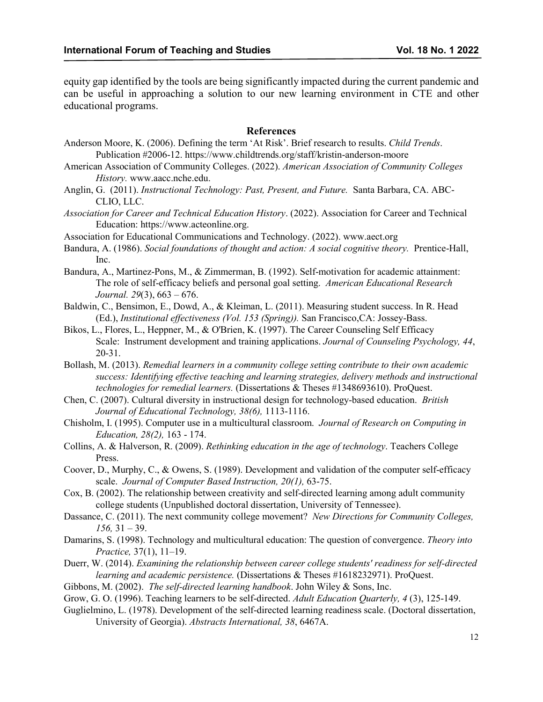equity gap identified by the tools are being significantly impacted during the current pandemic and can be useful in approaching a solution to our new learning environment in CTE and other educational programs.

### **References**

- Anderson Moore, K. (2006). Defining the term 'At Risk'. Brief research to results. *Child Trends*. Publication #2006-12. https://www.childtrends.org/staff/kristin-anderson-moore
- American Association of Community Colleges. (2022). *American Association of Community Colleges History.* www.aacc.nche.edu.
- Anglin, G. (2011). *Instructional Technology: Past, Present, and Future.* Santa Barbara, CA. ABC-CLIO, LLC.
- *Association for Career and Technical Education History*. (2022). Association for Career and Technical Education: https://www.acteonline.org.
- Association for Educational Communications and Technology. (2022). www.aect.org
- Bandura, A. (1986). *Social foundations of thought and action: A social cognitive theory.* Prentice-Hall, Inc.
- Bandura, A., Martinez-Pons, M., & Zimmerman, B. (1992). Self-motivation for academic attainment: The role of self-efficacy beliefs and personal goal setting. *American Educational Research Journal. 29*(3), 663 – 676.
- Baldwin, C., Bensimon, E., Dowd, A., & Kleiman, L. (2011). Measuring student success. In R. Head (Ed.), *Institutional effectiveness (Vol. 153 (Spring)).* San Francisco,CA: Jossey-Bass.
- Bikos, L., Flores, L., Heppner, M., & O'Brien, K. (1997). The Career Counseling Self Efficacy Scale: Instrument development and training applications. *Journal of Counseling Psychology, 44*, 20-31.
- Bollash, M. (2013). *Remedial learners in a community college setting contribute to their own academic success: Identifying effective teaching and learning strategies, delivery methods and instructional technologies for remedial learners.* (Dissertations & Theses #1348693610). ProQuest.
- Chen, C. (2007). Cultural diversity in instructional design for technology-based education. *British Journal of Educational Technology, 38(6),* 1113-1116.
- Chisholm, I. (1995). Computer use in a multicultural classroom. *Journal of Research on Computing in Education, 28(2),* 163 - 174.
- Collins, A. & Halverson, R. (2009). *Rethinking education in the age of technology*. Teachers College Press.
- Coover, D., Murphy, C., & Owens, S. (1989). Development and validation of the computer self-efficacy scale. *Journal of Computer Based Instruction, 20(1),* 63-75.
- Cox, B. (2002). The relationship between creativity and self-directed learning among adult community college students (Unpublished doctoral dissertation, University of Tennessee).
- Dassance, C. (2011). The next community college movement? *New Directions for Community Colleges, 156,* 31 – 39.
- Damarins, S. (1998). Technology and multicultural education: The question of convergence. *Theory into Practice,* 37(1), 11–19.
- Duerr, W. (2014). *Examining the relationship between career college students' readiness for self-directed learning and academic persistence.* (Dissertations & Theses #1618232971). ProQuest.
- Gibbons, M. (2002). *The self-directed learning handbook*. John Wiley & Sons, Inc.
- Grow, G. O. (1996). Teaching learners to be self-directed. *Adult Education Quarterly, 4* (3), 125-149.
- Guglielmino, L. (1978). Development of the self-directed learning readiness scale. (Doctoral dissertation, University of Georgia). *Abstracts International, 38*, 6467A.